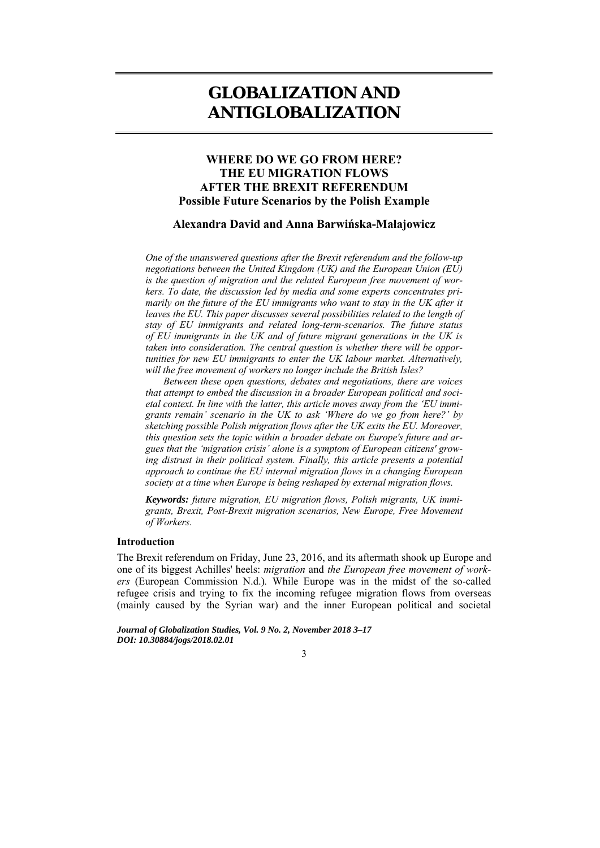# **GLOBALIZATION AND ANTIGLOBALIZATION**

# **WHERE DO WE GO FROM HERE? THE EU MIGRATION FLOWS AFTER THE BREXIT REFERENDUM Possible Future Scenarios by the Polish Example**

#### **Alexandra David and Anna Barwińska-Małajowicz**

*One of the unanswered questions after the Brexit referendum and the follow-up negotiations between the United Kingdom (UK) and the European Union (EU) is the question of migration and the related European free movement of workers. To date, the discussion led by media and some experts concentrates primarily on the future of the EU immigrants who want to stay in the UK after it leaves the EU. This paper discusses several possibilities related to the length of stay of EU immigrants and related long-term-scenarios. The future status of EU immigrants in the UK and of future migrant generations in the UK is taken into consideration. The central question is whether there will be opportunities for new EU immigrants to enter the UK labour market. Alternatively, will the free movement of workers no longer include the British Isles?* 

*Between these open questions, debates and negotiations, there are voices that attempt to embed the discussion in a broader European political and societal context. In line with the latter, this article moves away from the 'EU immigrants remain' scenario in the UK to ask 'Where do we go from here?' by sketching possible Polish migration flows after the UK exits the EU. Moreover, this question sets the topic within a broader debate on Europe's future and argues that the 'migration crisis' alone is a symptom of European citizens' growing distrust in their political system. Finally, this article presents a potential approach to continue the EU internal migration flows in a changing European society at a time when Europe is being reshaped by external migration flows.* 

*Keywords: future migration, EU migration flows, Polish migrants, UK immigrants, Brexit, Post-Brexit migration scenarios, New Europe, Free Movement of Workers.* 

#### **Introduction**

The Brexit referendum on Friday, June 23, 2016, and its aftermath shook up Europe and one of its biggest Achilles' heels: *migration* and *the European free movement of workers* (European Commission N.d.)*.* While Europe was in the midst of the so-called refugee crisis and trying to fix the incoming refugee migration flows from overseas (mainly caused by the Syrian war) and the inner European political and societal

*Journal of Globalization Studies, Vol. 9 No. 2, November 2018 3–17 DOI: 10.30884/jogs/2018.02.01* 

3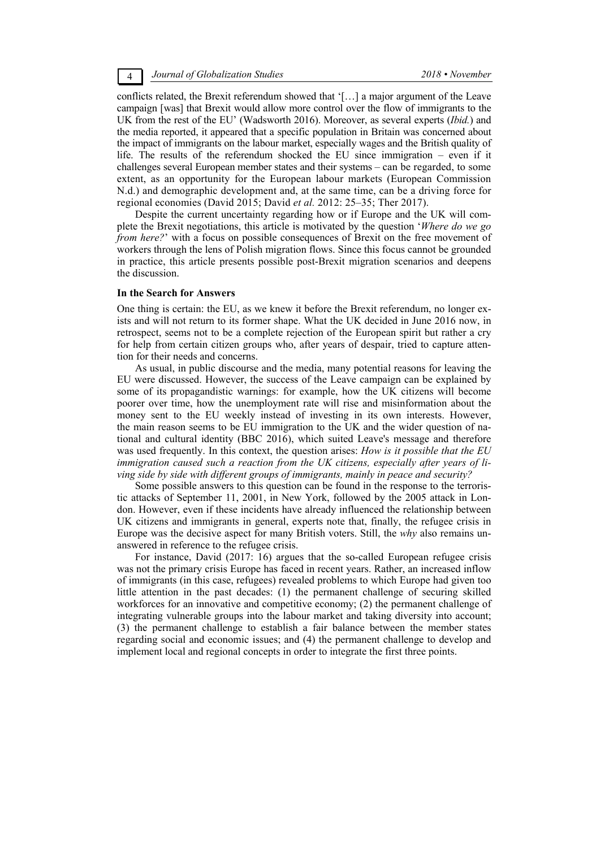conflicts related, the Brexit referendum showed that '[…] a major argument of the Leave campaign [was] that Brexit would allow more control over the flow of immigrants to the UK from the rest of the EU' (Wadsworth 2016). Moreover, as several experts (*Ibid.*) and the media reported, it appeared that a specific population in Britain was concerned about the impact of immigrants on the labour market, especially wages and the British quality of life. The results of the referendum shocked the EU since immigration – even if it challenges several European member states and their systems – can be regarded, to some extent, as an opportunity for the European labour markets (European Commission N.d.) and demographic development and, at the same time, can be a driving force for regional economies (David 2015; David *et al.* 2012: 25–35; Ther 2017).

Despite the current uncertainty regarding how or if Europe and the UK will complete the Brexit negotiations, this article is motivated by the question '*Where do we go from here?*' with a focus on possible consequences of Brexit on the free movement of workers through the lens of Polish migration flows. Since this focus cannot be grounded in practice, this article presents possible post-Brexit migration scenarios and deepens the discussion.

#### **In the Search for Answers**

One thing is certain: the EU, as we knew it before the Brexit referendum, no longer exists and will not return to its former shape. What the UK decided in June 2016 now, in retrospect, seems not to be a complete rejection of the European spirit but rather a cry for help from certain citizen groups who, after years of despair, tried to capture attention for their needs and concerns.

As usual, in public discourse and the media, many potential reasons for leaving the EU were discussed. However, the success of the Leave campaign can be explained by some of its propagandistic warnings: for example, how the UK citizens will become poorer over time, how the unemployment rate will rise and misinformation about the money sent to the EU weekly instead of investing in its own interests. However, the main reason seems to be EU immigration to the UK and the wider question of national and cultural identity (BBC 2016), which suited Leave's message and therefore was used frequently. In this context, the question arises: *How is it possible that the EU immigration caused such a reaction from the UK citizens, especially after years of living side by side with different groups of immigrants, mainly in peace and security?* 

Some possible answers to this question can be found in the response to the terroristic attacks of September 11, 2001, in New York, followed by the 2005 attack in London. However, even if these incidents have already influenced the relationship between UK citizens and immigrants in general, experts note that, finally, the refugee crisis in Europe was the decisive aspect for many British voters. Still, the *why* also remains unanswered in reference to the refugee crisis.

For instance, David (2017: 16) argues that the so-called European refugee crisis was not the primary crisis Europe has faced in recent years. Rather, an increased inflow of immigrants (in this case, refugees) revealed problems to which Europe had given too little attention in the past decades: (1) the permanent challenge of securing skilled workforces for an innovative and competitive economy; (2) the permanent challenge of integrating vulnerable groups into the labour market and taking diversity into account; (3) the permanent challenge to establish a fair balance between the member states regarding social and economic issues; and (4) the permanent challenge to develop and implement local and regional concepts in order to integrate the first three points.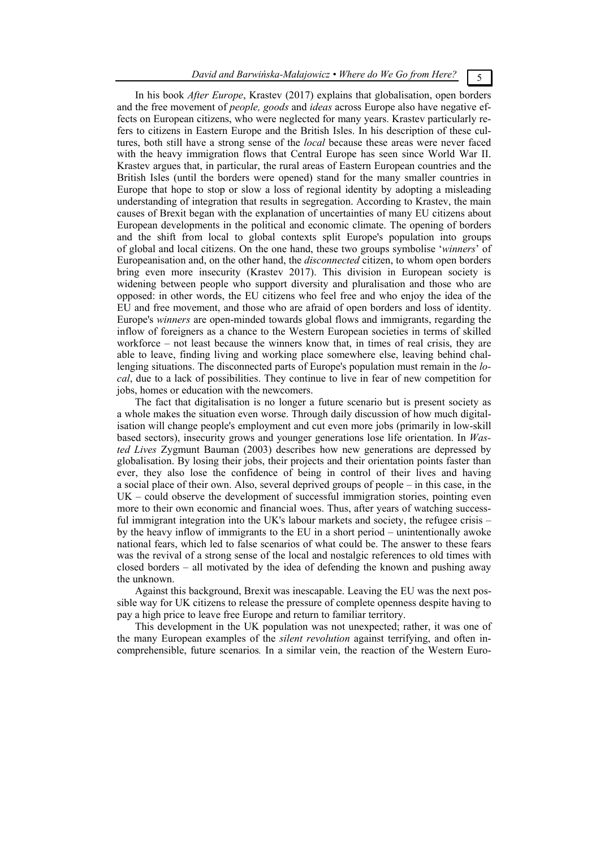In his book *After Europe*, Krastev (2017) explains that globalisation, open borders and the free movement of *people, goods* and *ideas* across Europe also have negative effects on European citizens, who were neglected for many years. Krastev particularly refers to citizens in Eastern Europe and the British Isles. In his description of these cultures, both still have a strong sense of the *local* because these areas were never faced with the heavy immigration flows that Central Europe has seen since World War II. Krastev argues that, in particular, the rural areas of Eastern European countries and the British Isles (until the borders were opened) stand for the many smaller countries in Europe that hope to stop or slow a loss of regional identity by adopting a misleading understanding of integration that results in segregation. According to Krastev, the main causes of Brexit began with the explanation of uncertainties of many EU citizens about European developments in the political and economic climate. The opening of borders and the shift from local to global contexts split Europe's population into groups of global and local citizens. On the one hand, these two groups symbolise '*winners*' of Europeanisation and, on the other hand, the *disconnected* citizen, to whom open borders bring even more insecurity (Krastev 2017). This division in European society is widening between people who support diversity and pluralisation and those who are opposed: in other words, the EU citizens who feel free and who enjoy the idea of the EU and free movement, and those who are afraid of open borders and loss of identity. Europe's *winners* are open-minded towards global flows and immigrants, regarding the inflow of foreigners as a chance to the Western European societies in terms of skilled workforce – not least because the winners know that, in times of real crisis, they are able to leave, finding living and working place somewhere else, leaving behind challenging situations. The disconnected parts of Europe's population must remain in the *local*, due to a lack of possibilities. They continue to live in fear of new competition for jobs, homes or education with the newcomers.

The fact that digitalisation is no longer a future scenario but is present society as a whole makes the situation even worse. Through daily discussion of how much digitalisation will change people's employment and cut even more jobs (primarily in low-skill based sectors), insecurity grows and younger generations lose life orientation. In *Wasted Lives* Zygmunt Bauman (2003) describes how new generations are depressed by globalisation. By losing their jobs, their projects and their orientation points faster than ever, they also lose the confidence of being in control of their lives and having a social place of their own. Also, several deprived groups of people – in this case, in the UK – could observe the development of successful immigration stories, pointing even more to their own economic and financial woes. Thus, after years of watching successful immigrant integration into the UK's labour markets and society, the refugee crisis – by the heavy inflow of immigrants to the EU in a short period – unintentionally awoke national fears, which led to false scenarios of what could be. The answer to these fears was the revival of a strong sense of the local and nostalgic references to old times with closed borders – all motivated by the idea of defending the known and pushing away the unknown.

Against this background, Brexit was inescapable. Leaving the EU was the next possible way for UK citizens to release the pressure of complete openness despite having to pay a high price to leave free Europe and return to familiar territory.

This development in the UK population was not unexpected; rather, it was one of the many European examples of the *silent revolution* against terrifying, and often incomprehensible, future scenarios*.* In a similar vein, the reaction of the Western Euro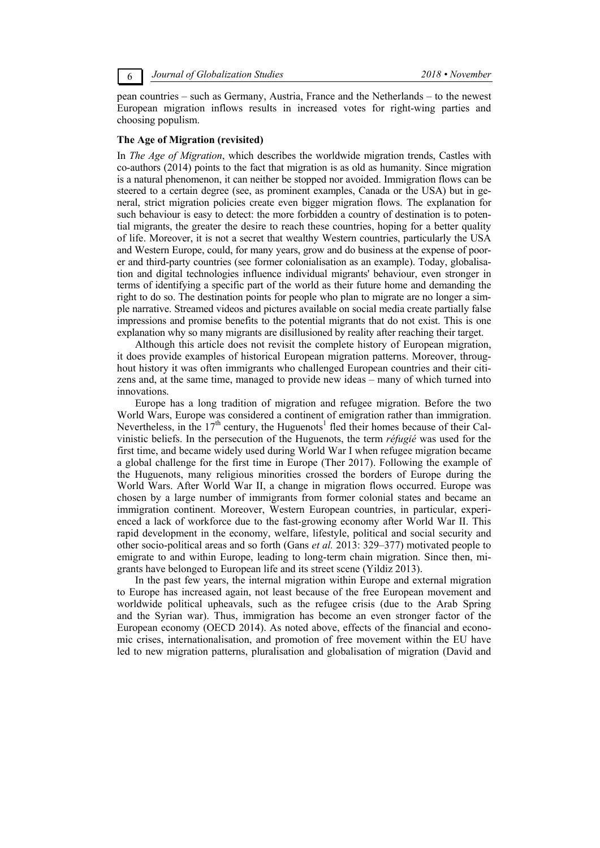6 *Journal of Globalization Studies 2018 • November* 

pean countries – such as Germany, Austria, France and the Netherlands – to the newest European migration inflows results in increased votes for right-wing parties and choosing populism.

### **The Age of Migration (revisited)**

In *The Age of Migration*, which describes the worldwide migration trends, Castles with co-authors (2014) points to the fact that migration is as old as humanity. Since migration is a natural phenomenon, it can neither be stopped nor avoided. Immigration flows can be steered to a certain degree (see, as prominent examples, Canada or the USA) but in general, strict migration policies create even bigger migration flows. The explanation for such behaviour is easy to detect: the more forbidden a country of destination is to potential migrants, the greater the desire to reach these countries, hoping for a better quality of life. Moreover, it is not a secret that wealthy Western countries, particularly the USA and Western Europe, could, for many years, grow and do business at the expense of poorer and third-party countries (see former colonialisation as an example). Today, globalisation and digital technologies influence individual migrants' behaviour, even stronger in terms of identifying a specific part of the world as their future home and demanding the right to do so. The destination points for people who plan to migrate are no longer a simple narrative. Streamed videos and pictures available on social media create partially false impressions and promise benefits to the potential migrants that do not exist. This is one explanation why so many migrants are disillusioned by reality after reaching their target.

Although this article does not revisit the complete history of European migration, it does provide examples of historical European migration patterns. Moreover, throughout history it was often immigrants who challenged European countries and their citizens and, at the same time, managed to provide new ideas – many of which turned into innovations.

Europe has a long tradition of migration and refugee migration. Before the two World Wars, Europe was considered a continent of emigration rather than immigration. Nevertheless, in the  $17<sup>th</sup>$  century, the Huguenots<sup>1</sup> fled their homes because of their Calvinistic beliefs. In the persecution of the Huguenots, the term *réfugié* was used for the first time, and became widely used during World War I when refugee migration became a global challenge for the first time in Europe (Ther 2017). Following the example of the Huguenots, many religious minorities crossed the borders of Europe during the World Wars. After World War II, a change in migration flows occurred. Europe was chosen by a large number of immigrants from former colonial states and became an immigration continent. Moreover, Western European countries, in particular, experienced a lack of workforce due to the fast-growing economy after World War II. This rapid development in the economy, welfare, lifestyle, political and social security and other socio-political areas and so forth (Gans *et al.* 2013: 329–377) motivated people to emigrate to and within Europe, leading to long-term chain migration. Since then, migrants have belonged to European life and its street scene (Yildiz 2013).

In the past few years, the internal migration within Europe and external migration to Europe has increased again, not least because of the free European movement and worldwide political upheavals, such as the refugee crisis (due to the Arab Spring and the Syrian war). Thus, immigration has become an even stronger factor of the European economy (OECD 2014). As noted above, effects of the financial and economic crises, internationalisation, and promotion of free movement within the EU have led to new migration patterns, pluralisation and globalisation of migration (David and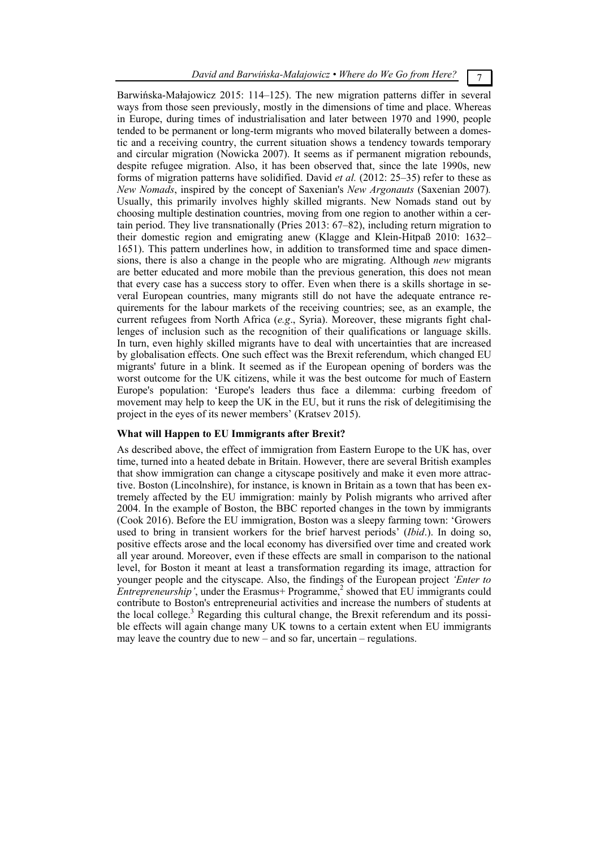*David and Barwińska-Małajowicz • Where do We Go from Here?* 7

Barwińska-Małajowicz 2015: 114–125). The new migration patterns differ in several ways from those seen previously, mostly in the dimensions of time and place. Whereas in Europe, during times of industrialisation and later between 1970 and 1990, people tended to be permanent or long-term migrants who moved bilaterally between a domestic and a receiving country, the current situation shows a tendency towards temporary and circular migration (Nowicka 2007). It seems as if permanent migration rebounds, despite refugee migration. Also, it has been observed that, since the late 1990s, new forms of migration patterns have solidified. David *et al.* (2012: 25–35) refer to these as *New Nomads*, inspired by the concept of Saxenian's *New Argonauts* (Saxenian 2007)*.* Usually, this primarily involves highly skilled migrants. New Nomads stand out by choosing multiple destination countries, moving from one region to another within a certain period. They live transnationally (Pries 2013: 67–82), including return migration to their domestic region and emigrating anew (Klagge and Klein-Hitpaß 2010: 1632– 1651). This pattern underlines how, in addition to transformed time and space dimensions, there is also a change in the people who are migrating. Although *new* migrants are better educated and more mobile than the previous generation, this does not mean that every case has a success story to offer. Even when there is a skills shortage in several European countries, many migrants still do not have the adequate entrance requirements for the labour markets of the receiving countries; see, as an example, the current refugees from North Africa (*e.g*., Syria). Moreover, these migrants fight challenges of inclusion such as the recognition of their qualifications or language skills. In turn, even highly skilled migrants have to deal with uncertainties that are increased by globalisation effects. One such effect was the Brexit referendum, which changed EU migrants' future in a blink. It seemed as if the European opening of borders was the worst outcome for the UK citizens, while it was the best outcome for much of Eastern Europe's population: 'Europe's leaders thus face a dilemma: curbing freedom of movement may help to keep the UK in the EU, but it runs the risk of delegitimising the project in the eyes of its newer members' (Kratsev 2015).

#### **What will Happen to EU Immigrants after Brexit?**

As described above, the effect of immigration from Eastern Europe to the UK has, over time, turned into a heated debate in Britain. However, there are several British examples that show immigration can change a cityscape positively and make it even more attractive. Boston (Lincolnshire), for instance, is known in Britain as a town that has been extremely affected by the EU immigration: mainly by Polish migrants who arrived after 2004. In the example of Boston, the BBC reported changes in the town by immigrants (Cook 2016). Before the EU immigration, Boston was a sleepy farming town: 'Growers used to bring in transient workers for the brief harvest periods' (*Ibid*.). In doing so, positive effects arose and the local economy has diversified over time and created work all year around. Moreover, even if these effects are small in comparison to the national level, for Boston it meant at least a transformation regarding its image, attraction for younger people and the cityscape. Also, the findings of the European project *'Enter to Entrepreneurship'*, under the Erasmus+ Programme,<sup>2</sup> showed that EU immigrants could contribute to Boston's entrepreneurial activities and increase the numbers of students at the local college. $3$  Regarding this cultural change, the Brexit referendum and its possible effects will again change many UK towns to a certain extent when EU immigrants may leave the country due to new – and so far, uncertain – regulations.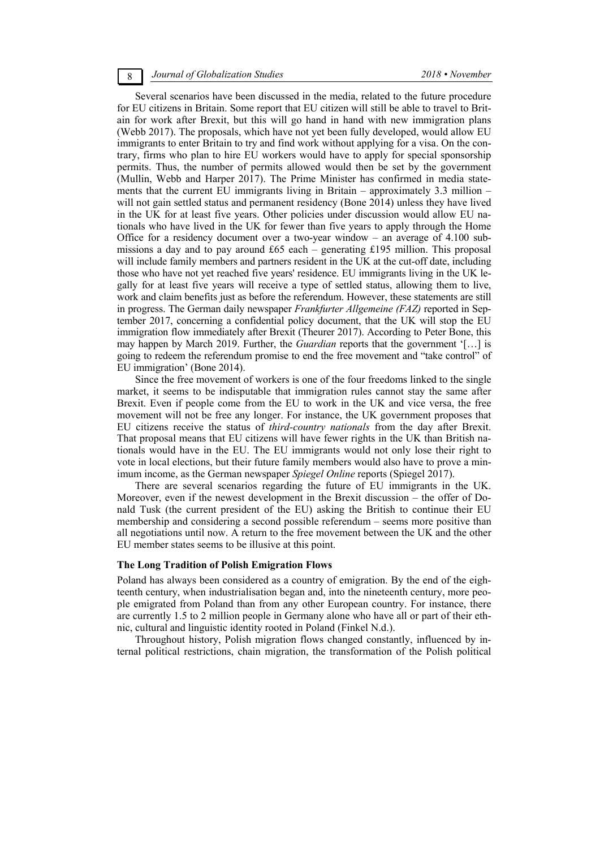### 8 *Journal of Globalization Studies 2018 • November*

Several scenarios have been discussed in the media, related to the future procedure for EU citizens in Britain. Some report that EU citizen will still be able to travel to Britain for work after Brexit, but this will go hand in hand with new immigration plans (Webb 2017). The proposals, which have not yet been fully developed, would allow EU immigrants to enter Britain to try and find work without applying for a visa. On the contrary, firms who plan to hire EU workers would have to apply for special sponsorship permits. Thus, the number of permits allowed would then be set by the government (Mullin, Webb and Harper 2017). The Prime Minister has confirmed in media statements that the current EU immigrants living in Britain – approximately 3.3 million – will not gain settled status and permanent residency (Bone 2014) unless they have lived in the UK for at least five years. Other policies under discussion would allow EU nationals who have lived in the UK for fewer than five years to apply through the Home Office for a residency document over a two-year window – an average of 4.100 submissions a day and to pay around £65 each – generating £195 million. This proposal will include family members and partners resident in the UK at the cut-off date, including those who have not yet reached five years' residence. EU immigrants living in the UK legally for at least five years will receive a type of settled status, allowing them to live, work and claim benefits just as before the referendum. However, these statements are still in progress. The German daily newspaper *Frankfurter Allgemeine (FAZ)* reported in September 2017, concerning a confidential policy document, that the UK will stop the EU immigration flow immediately after Brexit (Theurer 2017). According to Peter Bone, this may happen by March 2019. Further, the *Guardian* reports that the government '[…] is going to redeem the referendum promise to end the free movement and "take control" of EU immigration' (Bone 2014).

Since the free movement of workers is one of the four freedoms linked to the single market, it seems to be indisputable that immigration rules cannot stay the same after Brexit. Even if people come from the EU to work in the UK and vice versa, the free movement will not be free any longer. For instance, the UK government proposes that EU citizens receive the status of *third-country nationals* from the day after Brexit. That proposal means that EU citizens will have fewer rights in the UK than British nationals would have in the EU. The EU immigrants would not only lose their right to vote in local elections, but their future family members would also have to prove a minimum income, as the German newspaper *Spiegel Online* reports (Spiegel 2017).

There are several scenarios regarding the future of EU immigrants in the UK. Moreover, even if the newest development in the Brexit discussion – the offer of Donald Tusk (the current president of the EU) asking the British to continue their EU membership and considering a second possible referendum – seems more positive than all negotiations until now. A return to the free movement between the UK and the other EU member states seems to be illusive at this point.

#### **The Long Tradition of Polish Emigration Flows**

Poland has always been considered as a country of emigration. By the end of the eighteenth century, when industrialisation began and, into the nineteenth century, more people emigrated from Poland than from any other European country. For instance, there are currently 1.5 to 2 million people in Germany alone who have all or part of their ethnic, cultural and linguistic identity rooted in Poland (Finkel N.d.).

Throughout history, Polish migration flows changed constantly, influenced by internal political restrictions, chain migration, the transformation of the Polish political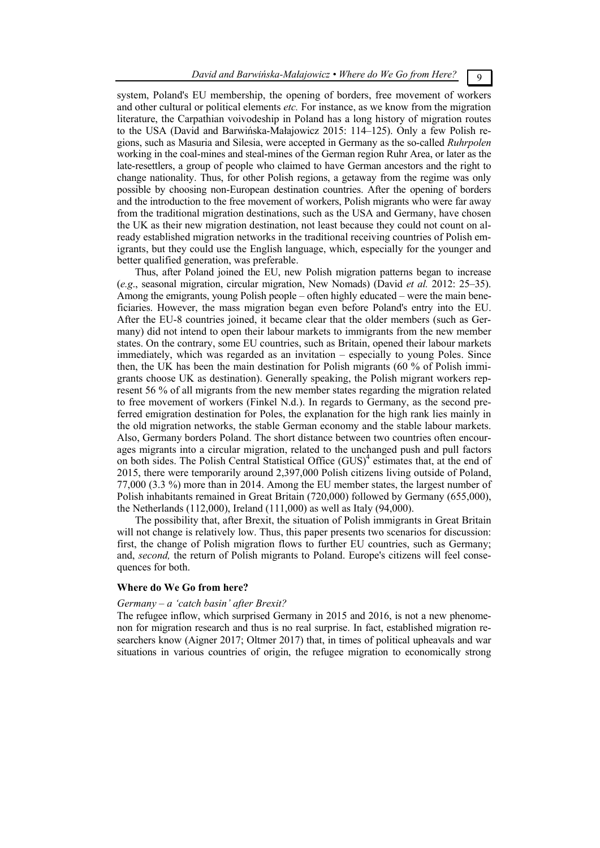system, Poland's EU membership, the opening of borders, free movement of workers and other cultural or political elements *etc.* For instance, as we know from the migration literature, the Carpathian voivodeship in Poland has a long history of migration routes to the USA (David and Barwińska-Małajowicz 2015: 114–125). Only a few Polish regions, such as Masuria and Silesia, were accepted in Germany as the so-called *Ruhrpolen* working in the coal-mines and steal-mines of the German region Ruhr Area, or later as the late-resettlers, a group of people who claimed to have German ancestors and the right to change nationality. Thus, for other Polish regions, a getaway from the regime was only possible by choosing non-European destination countries. After the opening of borders and the introduction to the free movement of workers, Polish migrants who were far away from the traditional migration destinations, such as the USA and Germany, have chosen the UK as their new migration destination, not least because they could not count on already established migration networks in the traditional receiving countries of Polish emigrants, but they could use the English language, which, especially for the younger and better qualified generation, was preferable.

Thus, after Poland joined the EU, new Polish migration patterns began to increase (*e.g*., seasonal migration, circular migration, New Nomads) (David *et al.* 2012: 25–35). Among the emigrants, young Polish people – often highly educated – were the main beneficiaries. However, the mass migration began even before Poland's entry into the EU. After the EU-8 countries joined, it became clear that the older members (such as Germany) did not intend to open their labour markets to immigrants from the new member states. On the contrary, some EU countries, such as Britain, opened their labour markets immediately, which was regarded as an invitation – especially to young Poles. Since then, the UK has been the main destination for Polish migrants (60 % of Polish immigrants choose UK as destination). Generally speaking, the Polish migrant workers represent 56 % of all migrants from the new member states regarding the migration related to free movement of workers (Finkel N.d.). In regards to Germany, as the second preferred emigration destination for Poles, the explanation for the high rank lies mainly in the old migration networks, the stable German economy and the stable labour markets. Also, Germany borders Poland. The short distance between two countries often encourages migrants into a circular migration, related to the unchanged push and pull factors on both sides. The Polish Central Statistical Office (GUS)<sup>4</sup> estimates that, at the end of 2015, there were temporarily around 2,397,000 Polish citizens living outside of Poland, 77,000 (3.3 %) more than in 2014. Among the EU member states, the largest number of Polish inhabitants remained in Great Britain (720,000) followed by Germany (655,000), the Netherlands (112,000), Ireland (111,000) as well as Italy (94,000).

The possibility that, after Brexit, the situation of Polish immigrants in Great Britain will not change is relatively low. Thus, this paper presents two scenarios for discussion: first, the change of Polish migration flows to further EU countries, such as Germany; and, *second,* the return of Polish migrants to Poland. Europe's citizens will feel consequences for both.

#### **Where do We Go from here?**

#### *Germany – a 'catch basin' after Brexit?*

The refugee inflow, which surprised Germany in 2015 and 2016, is not a new phenomenon for migration research and thus is no real surprise. In fact, established migration researchers know (Aigner 2017; Oltmer 2017) that, in times of political upheavals and war situations in various countries of origin, the refugee migration to economically strong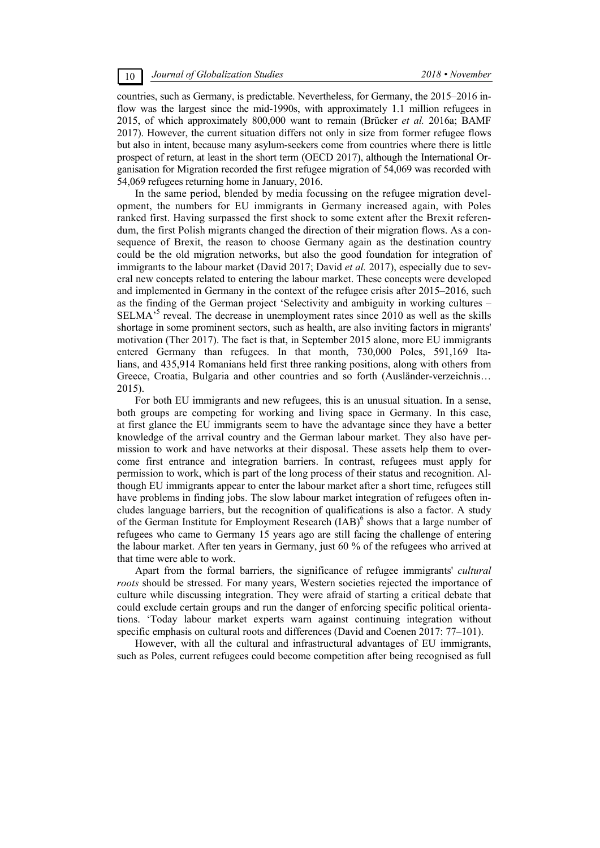countries, such as Germany, is predictable. Nevertheless, for Germany, the 2015–2016 inflow was the largest since the mid-1990s, with approximately 1.1 million refugees in 2015, of which approximately 800,000 want to remain (Brücker *et al.* 2016a; BAMF 2017). However, the current situation differs not only in size from former refugee flows but also in intent, because many asylum-seekers come from countries where there is little prospect of return, at least in the short term (OECD 2017), although the International Organisation for Migration recorded the first refugee migration of 54,069 was recorded with 54,069 refugees returning home in January, 2016.

In the same period, blended by media focussing on the refugee migration development, the numbers for EU immigrants in Germany increased again, with Poles ranked first. Having surpassed the first shock to some extent after the Brexit referendum, the first Polish migrants changed the direction of their migration flows. As a consequence of Brexit, the reason to choose Germany again as the destination country could be the old migration networks, but also the good foundation for integration of immigrants to the labour market (David 2017; David *et al.* 2017), especially due to several new concepts related to entering the labour market. These concepts were developed and implemented in Germany in the context of the refugee crisis after 2015–2016, such as the finding of the German project 'Selectivity and ambiguity in working cultures – SELMA<sup>55</sup> reveal. The decrease in unemployment rates since 2010 as well as the skills shortage in some prominent sectors, such as health, are also inviting factors in migrants' motivation (Ther 2017). The fact is that, in September 2015 alone, more EU immigrants entered Germany than refugees. In that month, 730,000 Poles, 591,169 Italians, and 435,914 Romanians held first three ranking positions, along with others from Greece, Croatia, Bulgaria and other countries and so forth (Ausländer-verzeichnis… 2015).

For both EU immigrants and new refugees, this is an unusual situation. In a sense, both groups are competing for working and living space in Germany. In this case, at first glance the EU immigrants seem to have the advantage since they have a better knowledge of the arrival country and the German labour market. They also have permission to work and have networks at their disposal. These assets help them to overcome first entrance and integration barriers. In contrast, refugees must apply for permission to work, which is part of the long process of their status and recognition. Although EU immigrants appear to enter the labour market after a short time, refugees still have problems in finding jobs. The slow labour market integration of refugees often includes language barriers, but the recognition of qualifications is also a factor. A study of the German Institute for Employment Research (IAB)<sup>6</sup> shows that a large number of refugees who came to Germany 15 years ago are still facing the challenge of entering the labour market. After ten years in Germany, just 60 % of the refugees who arrived at that time were able to work.

Apart from the formal barriers, the significance of refugee immigrants' *cultural roots* should be stressed. For many years, Western societies rejected the importance of culture while discussing integration. They were afraid of starting a critical debate that could exclude certain groups and run the danger of enforcing specific political orientations. 'Today labour market experts warn against continuing integration without specific emphasis on cultural roots and differences (David and Coenen 2017: 77–101).

However, with all the cultural and infrastructural advantages of EU immigrants, such as Poles, current refugees could become competition after being recognised as full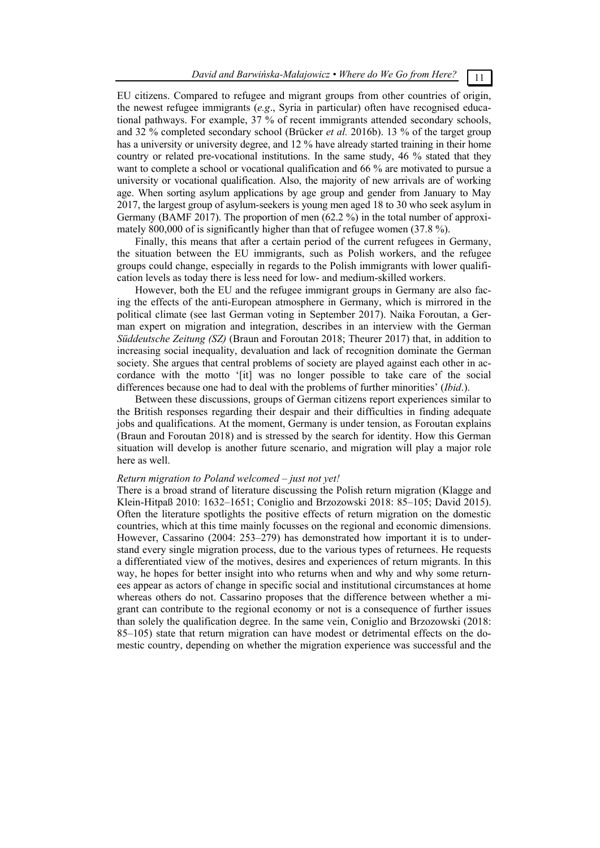EU citizens. Compared to refugee and migrant groups from other countries of origin, the newest refugee immigrants (*e.g*., Syria in particular) often have recognised educational pathways. For example, 37 % of recent immigrants attended secondary schools, and 32 % completed secondary school (Brücker *et al.* 2016b). 13 % of the target group has a university or university degree, and 12 % have already started training in their home country or related pre-vocational institutions. In the same study, 46 % stated that they want to complete a school or vocational qualification and 66 % are motivated to pursue a university or vocational qualification. Also, the majority of new arrivals are of working age. When sorting asylum applications by age group and gender from January to May 2017, the largest group of asylum-seekers is young men aged 18 to 30 who seek asylum in Germany (BAMF 2017). The proportion of men (62.2 %) in the total number of approximately 800,000 of is significantly higher than that of refugee women (37.8 %).

Finally, this means that after a certain period of the current refugees in Germany, the situation between the EU immigrants, such as Polish workers, and the refugee groups could change, especially in regards to the Polish immigrants with lower qualification levels as today there is less need for low- and medium-skilled workers.

However, both the EU and the refugee immigrant groups in Germany are also facing the effects of the anti-European atmosphere in Germany, which is mirrored in the political climate (see last German voting in September 2017). Naika Foroutan, a German expert on migration and integration, describes in an interview with the German *Süddeutsche Zeitung (SZ)* (Braun and Foroutan 2018; Theurer 2017) that, in addition to increasing social inequality, devaluation and lack of recognition dominate the German society. She argues that central problems of society are played against each other in accordance with the motto '[it] was no longer possible to take care of the social differences because one had to deal with the problems of further minorities' (*Ibid*.).

Between these discussions, groups of German citizens report experiences similar to the British responses regarding their despair and their difficulties in finding adequate jobs and qualifications. At the moment, Germany is under tension, as Foroutan explains (Braun and Foroutan 2018) and is stressed by the search for identity. How this German situation will develop is another future scenario, and migration will play a major role here as well.

# *Return migration to Poland welcomed – just not yet!*

There is a broad strand of literature discussing the Polish return migration (Klagge and Klein-Hitpaß 2010: 1632–1651; Coniglio and Brzozowski 2018: 85–105; David 2015). Often the literature spotlights the positive effects of return migration on the domestic countries, which at this time mainly focusses on the regional and economic dimensions. However, Cassarino (2004: 253–279) has demonstrated how important it is to understand every single migration process, due to the various types of returnees. He requests a differentiated view of the motives, desires and experiences of return migrants. In this way, he hopes for better insight into who returns when and why and why some returnees appear as actors of change in specific social and institutional circumstances at home whereas others do not. Cassarino proposes that the difference between whether a migrant can contribute to the regional economy or not is a consequence of further issues than solely the qualification degree. In the same vein, Coniglio and Brzozowski (2018: 85–105) state that return migration can have modest or detrimental effects on the domestic country, depending on whether the migration experience was successful and the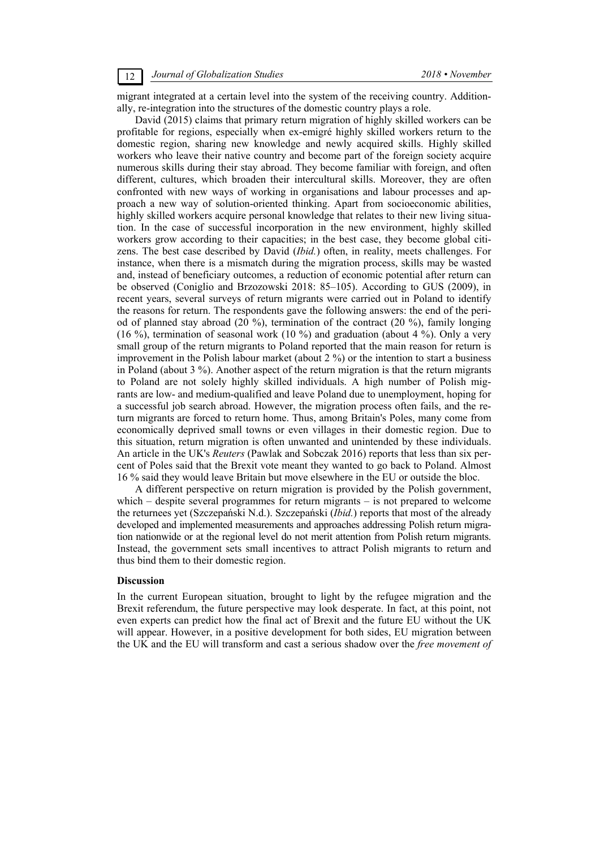migrant integrated at a certain level into the system of the receiving country. Additionally, re-integration into the structures of the domestic country plays a role.

David (2015) claims that primary return migration of highly skilled workers can be profitable for regions, especially when ex-emigré highly skilled workers return to the domestic region, sharing new knowledge and newly acquired skills. Highly skilled workers who leave their native country and become part of the foreign society acquire numerous skills during their stay abroad. They become familiar with foreign, and often different, cultures, which broaden their intercultural skills. Moreover, they are often confronted with new ways of working in organisations and labour processes and approach a new way of solution-oriented thinking. Apart from socioeconomic abilities, highly skilled workers acquire personal knowledge that relates to their new living situation. In the case of successful incorporation in the new environment, highly skilled workers grow according to their capacities; in the best case, they become global citizens. The best case described by David (*Ibid.*) often, in reality, meets challenges. For instance, when there is a mismatch during the migration process, skills may be wasted and, instead of beneficiary outcomes, a reduction of economic potential after return can be observed (Coniglio and Brzozowski 2018: 85–105). According to GUS (2009), in recent years, several surveys of return migrants were carried out in Poland to identify the reasons for return. The respondents gave the following answers: the end of the period of planned stay abroad (20 %), termination of the contract (20 %), family longing (16 %), termination of seasonal work (10 %) and graduation (about 4 %). Only a very small group of the return migrants to Poland reported that the main reason for return is improvement in the Polish labour market (about 2 %) or the intention to start a business in Poland (about 3 %). Another aspect of the return migration is that the return migrants to Poland are not solely highly skilled individuals. A high number of Polish migrants are low- and medium-qualified and leave Poland due to unemployment, hoping for a successful job search abroad. However, the migration process often fails, and the return migrants are forced to return home. Thus, among Britain's Poles, many come from economically deprived small towns or even villages in their domestic region. Due to this situation, return migration is often unwanted and unintended by these individuals. An article in the UK's *Reuters* (Pawlak and Sobczak 2016) reports that less than six percent of Poles said that the Brexit vote meant they wanted to go back to Poland. Almost 16 % said they would leave Britain but move elsewhere in the EU or outside the bloc.

A different perspective on return migration is provided by the Polish government, which – despite several programmes for return migrants – is not prepared to welcome the returnees yet (Szczepański N.d.). Szczepański (*Ibid.*) reports that most of the already developed and implemented measurements and approaches addressing Polish return migration nationwide or at the regional level do not merit attention from Polish return migrants. Instead, the government sets small incentives to attract Polish migrants to return and thus bind them to their domestic region.

#### **Discussion**

In the current European situation, brought to light by the refugee migration and the Brexit referendum, the future perspective may look desperate. In fact, at this point, not even experts can predict how the final act of Brexit and the future EU without the UK will appear. However, in a positive development for both sides, EU migration between the UK and the EU will transform and cast a serious shadow over the *free movement of*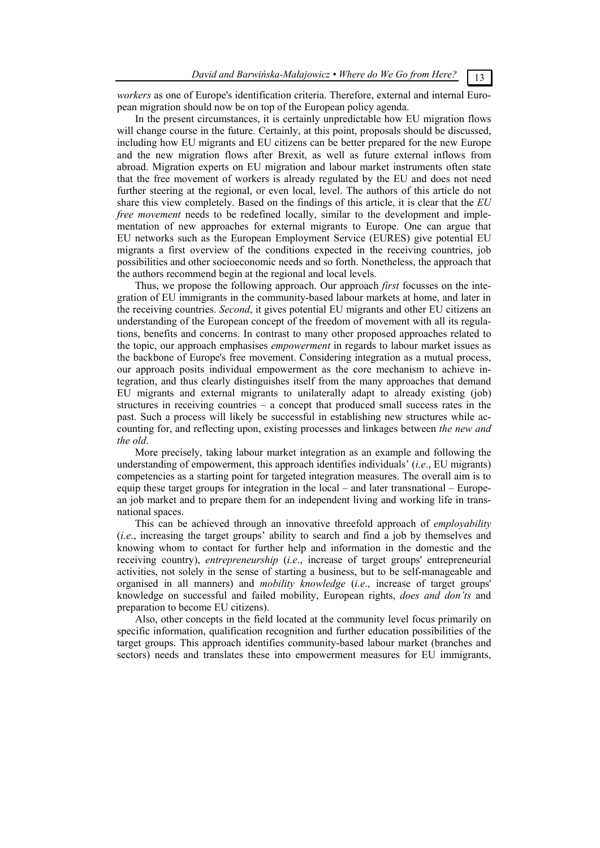*workers* as one of Europe's identification criteria. Therefore, external and internal European migration should now be on top of the European policy agenda.

In the present circumstances, it is certainly unpredictable how EU migration flows will change course in the future. Certainly, at this point, proposals should be discussed, including how EU migrants and EU citizens can be better prepared for the new Europe and the new migration flows after Brexit, as well as future external inflows from abroad. Migration experts on EU migration and labour market instruments often state that the free movement of workers is already regulated by the EU and does not need further steering at the regional, or even local, level. The authors of this article do not share this view completely. Based on the findings of this article, it is clear that the *EU free movement* needs to be redefined locally, similar to the development and implementation of new approaches for external migrants to Europe. One can argue that EU networks such as the European Employment Service (EURES) give potential EU migrants a first overview of the conditions expected in the receiving countries, job possibilities and other socioeconomic needs and so forth. Nonetheless, the approach that the authors recommend begin at the regional and local levels.

Thus, we propose the following approach. Our approach *first* focusses on the integration of EU immigrants in the community-based labour markets at home, and later in the receiving countries. *Second*, it gives potential EU migrants and other EU citizens an understanding of the European concept of the freedom of movement with all its regulations, benefits and concerns. In contrast to many other proposed approaches related to the topic, our approach emphasises *empowerment* in regards to labour market issues as the backbone of Europe's free movement. Considering integration as a mutual process, our approach posits individual empowerment as the core mechanism to achieve integration, and thus clearly distinguishes itself from the many approaches that demand EU migrants and external migrants to unilaterally adapt to already existing (job) structures in receiving countries – a concept that produced small success rates in the past. Such a process will likely be successful in establishing new structures while accounting for, and reflecting upon, existing processes and linkages between *the new and the old*.

More precisely, taking labour market integration as an example and following the understanding of empowerment, this approach identifies individuals' (*i.e*., EU migrants) competencies as a starting point for targeted integration measures. The overall aim is to equip these target groups for integration in the local – and later transnational – European job market and to prepare them for an independent living and working life in transnational spaces.

This can be achieved through an innovative threefold approach of *employability* (*i.e*., increasing the target groups' ability to search and find a job by themselves and knowing whom to contact for further help and information in the domestic and the receiving country), *entrepreneurship* (*i.e*., increase of target groups' entrepreneurial activities, not solely in the sense of starting a business, but to be self-manageable and organised in all manners) and *mobility knowledge* (*i.e*., increase of target groups' knowledge on successful and failed mobility, European rights, *does and don'ts* and preparation to become EU citizens).

Also, other concepts in the field located at the community level focus primarily on specific information, qualification recognition and further education possibilities of the target groups. This approach identifies community-based labour market (branches and sectors) needs and translates these into empowerment measures for EU immigrants,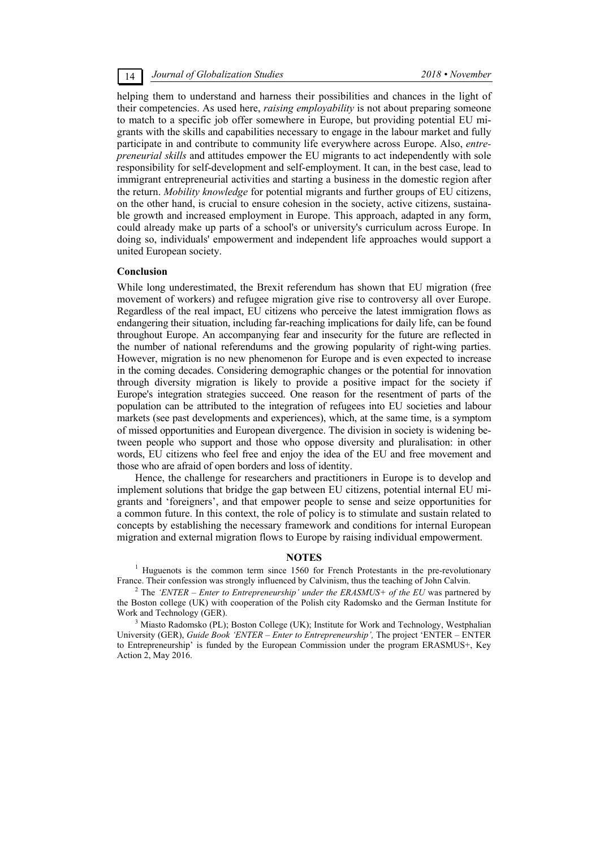## 14 *Journal of Globalization Studies 2018 • November*

helping them to understand and harness their possibilities and chances in the light of their competencies. As used here, *raising employability* is not about preparing someone to match to a specific job offer somewhere in Europe, but providing potential EU migrants with the skills and capabilities necessary to engage in the labour market and fully participate in and contribute to community life everywhere across Europe. Also, *entrepreneurial skills* and attitudes empower the EU migrants to act independently with sole responsibility for self-development and self-employment. It can, in the best case, lead to immigrant entrepreneurial activities and starting a business in the domestic region after the return. *Mobility knowledge* for potential migrants and further groups of EU citizens, on the other hand, is crucial to ensure cohesion in the society, active citizens, sustainable growth and increased employment in Europe. This approach, adapted in any form, could already make up parts of a school's or university's curriculum across Europe. In doing so, individuals' empowerment and independent life approaches would support a united European society.

## **Conclusion**

While long underestimated, the Brexit referendum has shown that EU migration (free movement of workers) and refugee migration give rise to controversy all over Europe. Regardless of the real impact, EU citizens who perceive the latest immigration flows as endangering their situation, including far-reaching implications for daily life, can be found throughout Europe. An accompanying fear and insecurity for the future are reflected in the number of national referendums and the growing popularity of right-wing parties. However, migration is no new phenomenon for Europe and is even expected to increase in the coming decades. Considering demographic changes or the potential for innovation through diversity migration is likely to provide a positive impact for the society if Europe's integration strategies succeed. One reason for the resentment of parts of the population can be attributed to the integration of refugees into EU societies and labour markets (see past developments and experiences), which, at the same time, is a symptom of missed opportunities and European divergence. The division in society is widening between people who support and those who oppose diversity and pluralisation: in other words, EU citizens who feel free and enjoy the idea of the EU and free movement and those who are afraid of open borders and loss of identity.

Hence, the challenge for researchers and practitioners in Europe is to develop and implement solutions that bridge the gap between EU citizens, potential internal EU migrants and 'foreigners', and that empower people to sense and seize opportunities for a common future. In this context, the role of policy is to stimulate and sustain related to concepts by establishing the necessary framework and conditions for internal European migration and external migration flows to Europe by raising individual empowerment.

#### **NOTES**

<sup>1</sup> Huguenots is the common term since 1560 for French Protestants in the pre-revolutionary France. Their confession was strongly influenced by Calvinism, thus the teaching of John Calvin.

<sup>2</sup> The 'ENTER – Enter to Entrepreneurship' under the ERASMUS+ of the EU was partnered by the Boston college (UK) with cooperation of the Polish city Radomsko and the German Institute for Work and Technology (GER).

<sup>3</sup> Miasto Radomsko (PL); Boston College (UK); Institute for Work and Technology, Westphalian University (GER), *Guide Book 'ENTER – Enter to Entrepreneurship',* The project 'ENTER – ENTER to Entrepreneurship' is funded by the European Commission under the program ERASMUS+, Key Action 2, May 2016.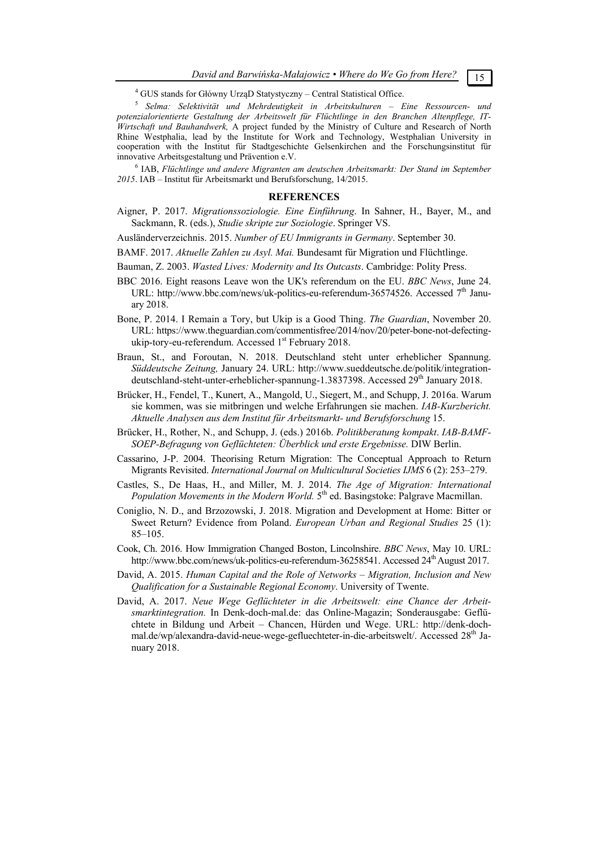<sup>4</sup> GUS stands for Główny UrząD Statystyczny - Central Statistical Office.

<sup>5</sup> Selma: Selektivität und Mehrdeutigkeit in Arbeitskulturen – Eine Ressourcen- und *potenzialorientierte Gestaltung der Arbeitswelt für Flüchtlinge in den Branchen Altenpflege, IT-Wirtschaft und Bauhandwerk,* A project funded by the Ministry of Culture and Research of North Rhine Westphalia, lead by the Institute for Work and Technology, Westphalian University in cooperation with the Institut für Stadtgeschichte Gelsenkirchen and the Forschungsinstitut für innovative Arbeitsgestaltung und Prävention e.V. 6

 IAB, *Flüchtlinge und andere Migranten am deutschen Arbeitsmarkt: Der Stand im September 2015*. IAB – Institut für Arbeitsmarkt und Berufsforschung, 14/2015.

#### **REFERENCES**

Aigner, P. 2017. *Migrationssoziologie. Eine Einführung*. In Sahner, H., Bayer, M., and Sackmann, R. (eds.), *Studie skripte zur Soziologie*. Springer VS.

Ausländerverzeichnis. 2015. *Number of EU Immigrants in Germany*. September 30.

BAMF. 2017. *Aktuelle Zahlen zu Asyl. Mai.* Bundesamt für Migration und Flüchtlinge.

- Bauman, Z. 2003. *Wasted Lives: Modernity and Its Outcasts*. Cambridge: Polity Press.
- BBC 2016. Eight reasons Leave won the UK's referendum on the EU. *BBC News*, June 24. URL: http://www.bbc.com/news/uk-politics-eu-referendum-36574526. Accessed 7<sup>th</sup> January 2018.
- Bone, P. 2014. I Remain a Tory, but Ukip is a Good Thing. *The Guardian*, November 20. URL: https://www.theguardian.com/commentisfree/2014/nov/20/peter-bone-not-defectingukip-tory-eu-referendum. Accessed 1<sup>st</sup> February 2018.
- Braun, St., and Foroutan, N. 2018. Deutschland steht unter erheblicher Spannung. *Süddeutsche Zeitung,* January 24. URL: http://www.sueddeutsche.de/politik/integrationdeutschland-steht-unter-erheblicher-spannung-1.3837398. Accessed  $29^{th}$  January 2018.
- Brücker, H., Fendel, T., Kunert, A., Mangold, U., Siegert, M., and Schupp, J. 2016a. Warum sie kommen, was sie mitbringen und welche Erfahrungen sie machen. *IAB-Kurzbericht. Aktuelle Analysen aus dem Institut für Arbeitsmarkt- und Berufsforschung* 15.
- Brücker, H., Rother, N., and Schupp, J. (eds.) 2016b. *Politikberatung kompakt*. *IAB-BAMF-SOEP-Befragung von Geflüchteten: Überblick und erste Ergebnisse.* DIW Berlin.
- Cassarino, J-P. 2004. Theorising Return Migration: The Conceptual Approach to Return Migrants Revisited. *International Journal on Multicultural Societies IJMS* 6 (2): 253–279.
- Castles, S., De Haas, H., and Miller, M. J. 2014. *The Age of Migration: International Population Movements in the Modern World.* 5<sup>th</sup> ed. Basingstoke: Palgrave Macmillan.
- Coniglio, N. D., and Brzozowski, J. 2018. Migration and Development at Home: Bitter or Sweet Return? Evidence from Poland. *European Urban and Regional Studies* 25 (1): 85–105.
- Cook, Ch. 2016. How Immigration Changed Boston, Lincolnshire. *ВВС News*, May 10. URL: http://www.bbc.com/news/uk-politics-eu-referendum-36258541. Accessed 24<sup>th</sup> August 2017.
- David, A. 2015. *Human Capital and the Role of Networks Migration, Inclusion and New Qualification for a Sustainable Regional Economy*. University of Twente.
- David, A. 2017. *Neue Wege Geflüchteter in die Arbeitswelt: eine Chance der Arbeitsmarktintegration.* In Denk-doch-mal.de: das Online-Magazin; Sonderausgabe: Geflüchtete in Bildung und Arbeit – Chancen, Hürden und Wege. URL: http://denk-dochmal.de/wp/alexandra-david-neue-wege-gefluechteter-in-die-arbeitswelt/. Accessed 28<sup>th</sup> January 2018.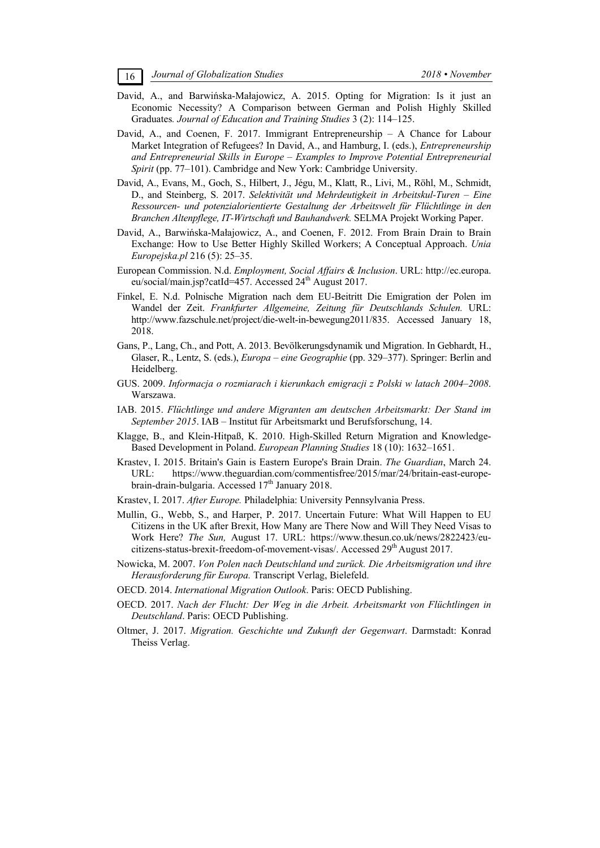- David, A., and Barwińska-Małajowicz, A. 2015. Opting for Migration: Is it just an Economic Necessity? A Comparison between German and Polish Highly Skilled Graduates*. Journal of Education and Training Studies* 3 (2): 114–125.
- David, A., and Coenen, F. 2017. Immigrant Entrepreneurship A Chance for Labour Market Integration of Refugees? In David, A., and Hamburg, I. (eds.), *Entrepreneurship and Entrepreneurial Skills in Europe – Examples to Improve Potential Entrepreneurial Spirit* (pp. 77–101). Cambridge and New York: Cambridge University.
- David, A., Evans, M., Goch, S., Hilbert, J., Jégu, M., Klatt, R., Livi, M., Röhl, M., Schmidt, D., and Steinberg, S. 2017. *Selektivität und Mehrdeutigkeit in Arbeitskul-Turen – Eine Ressourcen- und potenzialorientierte Gestaltung der Arbeitswelt für Flüchtlinge in den Branchen Altenpflege, IT-Wirtschaft und Bauhandwerk.* SELMA Projekt Working Paper.
- David, A., Barwińska-Małajowicz, A., and Coenen, F. 2012. From Brain Drain to Brain Exchange: How to Use Better Highly Skilled Workers; A Conceptual Approach. *Unia Europejska.pl* 216 (5): 25–35.
- European Commission. N.d. *Employment, Social Affairs & Inclusion*. URL: http://ec.europa. eu/social/main.jsp?catId=457. Accessed  $24<sup>th</sup>$  August 2017.
- Finkel, E. N.d. Polnische Migration nach dem EU-Beitritt Die Emigration der Polen im Wandel der Zeit. *Frankfurter Allgemeine, Zeitung für Deutschlands Schulen.* URL: http://www.fazschule.net/project/die-welt-in-bewegung2011/835. Accessed January 18, 2018.
- Gans, P., Lang, Ch., and Pott, A. 2013. Bevölkerungsdynamik und Migration. In Gebhardt, H., Glaser, R., Lentz, S. (eds.), *Europa – eine Geographie* (pp. 329–377). Springer: Berlin and Heidelberg.
- GUS. 2009. *Informacja o rozmiarach i kierunkach emigracji z Polski w latach 2004–2008*. Warszawa.
- IAB. 2015. *Flüchtlinge und andere Migranten am deutschen Arbeitsmarkt: Der Stand im September 2015*. IAB – Institut für Arbeitsmarkt und Berufsforschung, 14.
- Klagge, B., and Klein-Hitpaß, K. 2010. High-Skilled Return Migration and Knowledge-Based Development in Poland. *European Planning Studies* 18 (10): 1632–1651.
- Krastev, I. 2015. Britain's Gain is Eastern Europe's Brain Drain. *The Guardian*, March 24. URL: https://www.theguardian.com/commentisfree/2015/mar/24/britain-east-europebrain-drain-bulgaria. Accessed 17<sup>th</sup> January 2018.
- Krastev, I. 2017. *After Europe.* Philadelphia: University Pennsylvania Press.
- Mullin, G., Webb, S., and Harper, P. 2017. Uncertain Future: What Will Happen to EU Citizens in the UK after Brexit, How Many are There Now and Will They Need Visas to Work Here? *The Sun,* August 17. URL: https://www.thesun.co.uk/news/2822423/eucitizens-status-brexit-freedom-of-movement-visas/. Accessed 29<sup>th</sup> August 2017.
- Nowicka, M. 2007. *Von Polen nach Deutschland und zurück. Die Arbeitsmigration und ihre Herausforderung für Europa.* Transcript Verlag, Bielefeld.
- OECD. 2014. *International Migration Outlook*. Paris: OECD Publishing.
- OECD. 2017. *Nach der Flucht: Der Weg in die Arbeit. Arbeitsmarkt von Flüchtlingen in Deutschland*. Paris: OECD Publishing.
- Oltmer, J. 2017. *Migration. Geschichte und Zukunft der Gegenwart*. Darmstadt: Konrad Theiss Verlag.